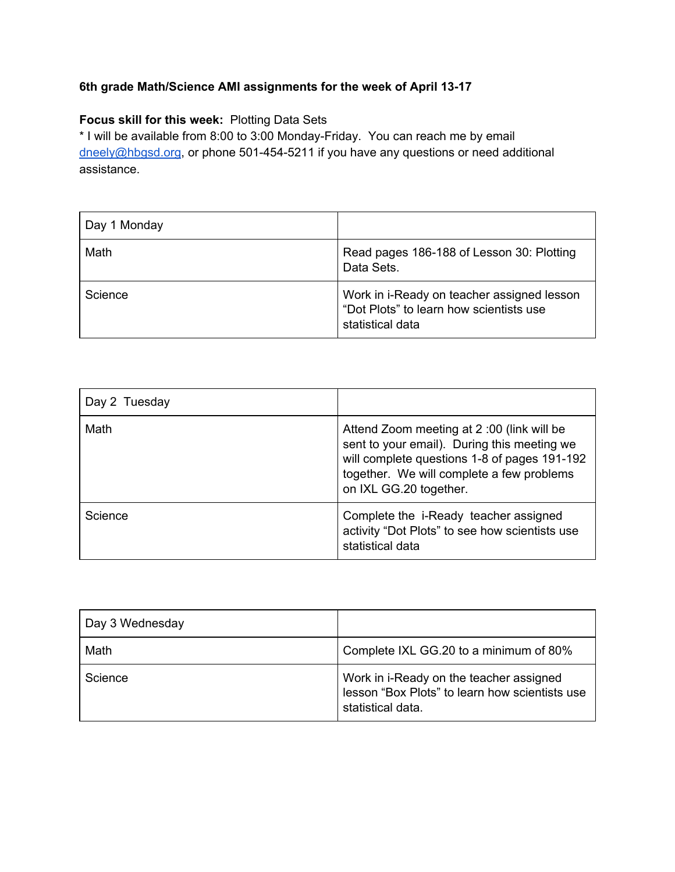## **6th grade Math/Science AMI assignments for the week of April 13-17**

## **Focus skill for this week:** Plotting Data Sets

\* I will be available from 8:00 to 3:00 Monday-Friday. You can reach me by email [dneely@hbgsd.org](mailto:dneely@hbgsd.org), or phone 501-454-5211 if you have any questions or need additional assistance.

| Day 1 Monday |                                                                                                           |
|--------------|-----------------------------------------------------------------------------------------------------------|
| Math         | Read pages 186-188 of Lesson 30: Plotting<br>Data Sets.                                                   |
| Science      | Work in i-Ready on teacher assigned lesson<br>"Dot Plots" to learn how scientists use<br>statistical data |

| Day 2 Tuesday |                                                                                                                                                                                                                 |
|---------------|-----------------------------------------------------------------------------------------------------------------------------------------------------------------------------------------------------------------|
| Math          | Attend Zoom meeting at 2:00 (link will be<br>sent to your email). During this meeting we<br>will complete questions 1-8 of pages 191-192<br>together. We will complete a few problems<br>on IXL GG.20 together. |
| Science       | Complete the i-Ready teacher assigned<br>activity "Dot Plots" to see how scientists use<br>statistical data                                                                                                     |

| Day 3 Wednesday |                                                                                                                |
|-----------------|----------------------------------------------------------------------------------------------------------------|
| Math            | Complete IXL GG.20 to a minimum of 80%                                                                         |
| Science         | Work in i-Ready on the teacher assigned<br>lesson "Box Plots" to learn how scientists use<br>statistical data. |